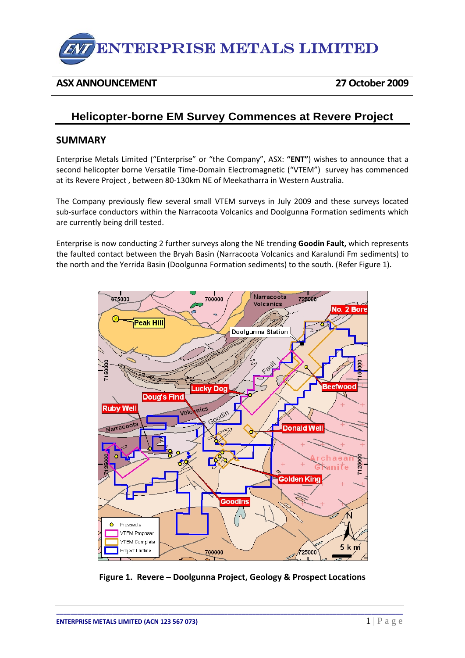

## **ASX ANNOUNCEMENT 27October 2009**

# **Helicopter-borne EM Survey Commences at Revere Project**

### **SUMMARY**

Enterprise Metals Limited ("Enterprise" or "the Company", ASX: **"ENT"**) wishes to announce that a second helicopter borne Versatile Time‐Domain Electromagnetic ("VTEM") survey has commenced at its Revere Project , between 80‐130km NE of Meekatharra in Western Australia.

The Company previously flew several small VTEM surveys in July 2009 and these surveys located sub-surface conductors within the Narracoota Volcanics and Doolgunna Formation sediments which are currently being drill tested.

Enterprise is now conducting 2 further surveys along the NE trending **Goodin Fault,** which represents the faulted contact between the Bryah Basin (Narracoota Volcanics and Karalundi Fm sediments) to the north and the Yerrida Basin (Doolgunna Formation sediments) to the south. (Refer Figure 1).



**Figure 1. Revere – Doolgunna Project, Geology & Prospect Locations**

**\_\_\_\_\_\_\_\_\_\_\_\_\_\_\_\_\_\_\_\_\_\_\_\_\_\_\_\_\_\_\_\_\_\_\_\_\_\_\_\_\_\_\_\_\_\_\_\_\_\_\_\_\_\_\_\_\_\_\_\_\_\_\_\_\_\_\_\_\_\_\_\_\_\_\_\_\_\_\_\_\_\_\_\_\_\_\_\_\_\_\_\_\_\_\_\_\_\_\_**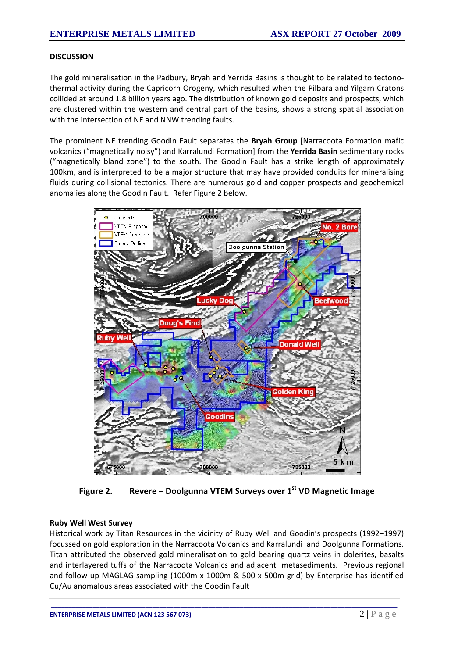#### **DISCUSSION**

The gold mineralisation in the Padbury, Bryah and Yerrida Basins is thought to be related to tectono‐ thermal activity during the Capricorn Orogeny, which resulted when the Pilbara and Yilgarn Cratons collided at around 1.8 billion years ago. The distribution of known gold deposits and prospects, which are clustered within the western and central part of the basins, shows a strong spatial association with the intersection of NE and NNW trending faults.

The prominent NE trending Goodin Fault separates the **Bryah Group** [Narracoota Formation mafic volcanics ("magnetically noisy") and Karralundi Formation] from the **Yerrida Basin** sedimentary rocks ("magnetically bland zone") to the south. The Goodin Fault has a strike length of approximately 100km, and is interpreted to be a major structure that may have provided conduits for mineralising fluids during collisional tectonics. There are numerous gold and copper prospects and geochemical anomalies along the Goodin Fault. Refer Figure 2 below.



**Figure 2. Revere – Doolgunna VTEM Surveys over 1st VD Magnetic Image** 

#### **Ruby Well West Survey**

Historical work by Titan Resources in the vicinity of Ruby Well and Goodin's prospects (1992–1997) focussed on gold exploration in the Narracoota Volcanics and Karralundi and Doolgunna Formations. Titan attributed the observed gold mineralisation to gold bearing quartz veins in dolerites, basalts and interlayered tuffs of the Narracoota Volcanics and adjacent metasediments. Previous regional and follow up MAGLAG sampling (1000m x 1000m & 500 x 500m grid) by Enterprise has identified Cu/Au anomalous areas associated with the Goodin Fault

**\_\_\_\_\_\_\_\_\_\_\_\_\_\_\_\_\_\_\_\_\_\_\_\_\_\_\_\_\_\_\_\_\_\_\_\_\_\_\_\_\_\_\_\_\_\_\_\_\_\_\_\_\_\_\_\_\_\_\_\_\_\_\_\_\_\_\_\_\_\_\_\_\_\_\_\_\_\_\_\_\_\_\_\_\_\_\_\_\_\_\_\_\_\_\_\_\_\_\_**